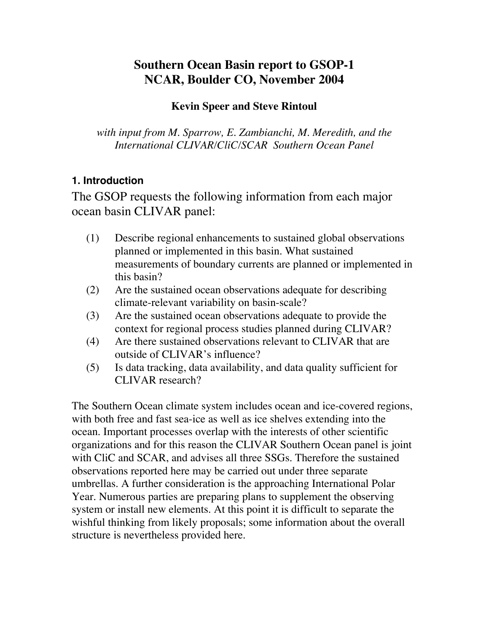# **Southern Ocean Basin report to GSOP-1 NCAR, Boulder CO, November 2004**

### **Kevin Speer and Steve Rintoul**

*with input from M. Sparrow, E. Zambianchi, M. Meredith, and the International CLIVAR/CliC/SCAR Southern Ocean Panel*

## **1. Introduction**

The GSOP requests the following information from each major ocean basin CLIVAR panel:

- (1) Describe regional enhancements to sustained global observations planned or implemented in this basin. What sustained measurements of boundary currents are planned or implemented in this basin?
- (2) Are the sustained ocean observations adequate for describing climate-relevant variability on basin-scale?
- (3) Are the sustained ocean observations adequate to provide the context for regional process studies planned during CLIVAR?
- (4) Are there sustained observations relevant to CLIVAR that are outside of CLIVAR's influence?
- (5) Is data tracking, data availability, and data quality sufficient for CLIVAR research?

The Southern Ocean climate system includes ocean and ice-covered regions, with both free and fast sea-ice as well as ice shelves extending into the ocean. Important processes overlap with the interests of other scientific organizations and for this reason the CLIVAR Southern Ocean panel is joint with CliC and SCAR, and advises all three SSGs. Therefore the sustained observations reported here may be carried out under three separate umbrellas. A further consideration is the approaching International Polar Year. Numerous parties are preparing plans to supplement the observing system or install new elements. At this point it is difficult to separate the wishful thinking from likely proposals; some information about the overall structure is nevertheless provided here.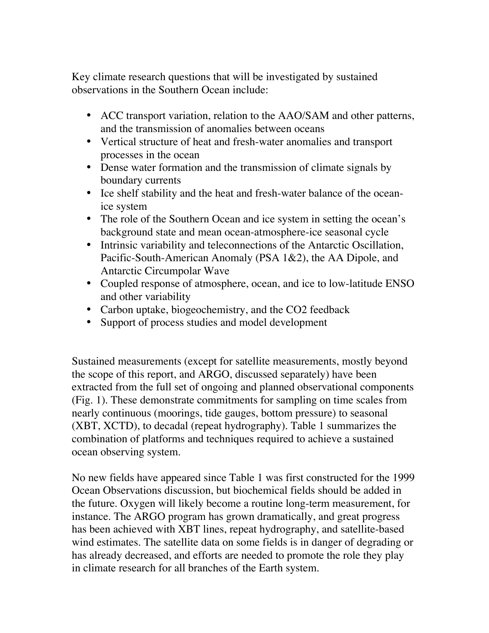Key climate research questions that will be investigated by sustained observations in the Southern Ocean include:

- ACC transport variation, relation to the AAO/SAM and other patterns, and the transmission of anomalies between oceans
- Vertical structure of heat and fresh-water anomalies and transport processes in the ocean
- Dense water formation and the transmission of climate signals by boundary currents
- Ice shelf stability and the heat and fresh-water balance of the oceanice system
- The role of the Southern Ocean and ice system in setting the ocean's background state and mean ocean-atmosphere-ice seasonal cycle
- Intrinsic variability and teleconnections of the Antarctic Oscillation, Pacific-South-American Anomaly (PSA 1&2), the AA Dipole, and Antarctic Circumpolar Wave
- Coupled response of atmosphere, ocean, and ice to low-latitude ENSO and other variability
- Carbon uptake, biogeochemistry, and the CO2 feedback
- Support of process studies and model development

Sustained measurements (except for satellite measurements, mostly beyond the scope of this report, and ARGO, discussed separately) have been extracted from the full set of ongoing and planned observational components (Fig. 1). These demonstrate commitments for sampling on time scales from nearly continuous (moorings, tide gauges, bottom pressure) to seasonal (XBT, XCTD), to decadal (repeat hydrography). Table 1 summarizes the combination of platforms and techniques required to achieve a sustained ocean observing system.

No new fields have appeared since Table 1 was first constructed for the 1999 Ocean Observations discussion, but biochemical fields should be added in the future. Oxygen will likely become a routine long-term measurement, for instance. The ARGO program has grown dramatically, and great progress has been achieved with XBT lines, repeat hydrography, and satellite-based wind estimates. The satellite data on some fields is in danger of degrading or has already decreased, and efforts are needed to promote the role they play in climate research for all branches of the Earth system.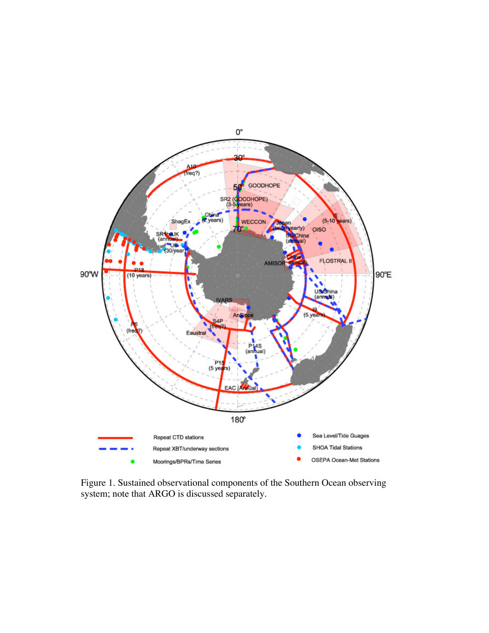

Figure 1. Sustained observational components of the Southern Ocean observing system; note that ARGO is discussed separately.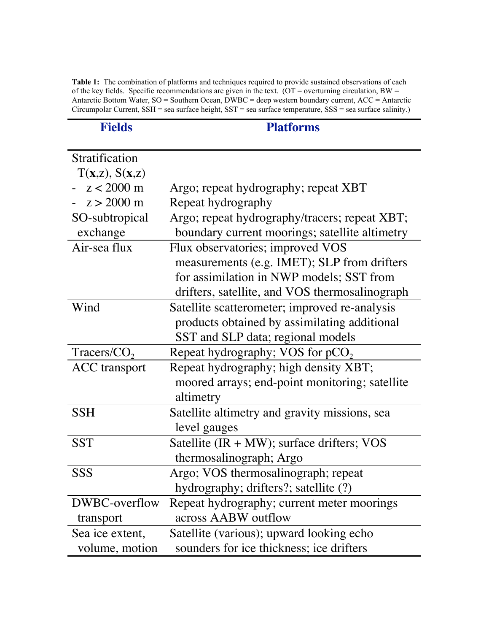Table 1: The combination of platforms and techniques required to provide sustained observations of each of the key fields. Specific recommendations are given in the text. (OT = overturning circulation, BW = Antarctic Bottom Water, SO = Southern Ocean, DWBC = deep western boundary current, ACC = Antarctic Circumpolar Current, SSH = sea surface height, SST = sea surface temperature, SSS = sea surface salinity.)

| <b>Fields</b>         | <b>Platforms</b>                               |
|-----------------------|------------------------------------------------|
| Stratification        |                                                |
| $T(x,z)$ , $S(x,z)$   |                                                |
| $z < 2000$ m          | Argo; repeat hydrography; repeat XBT           |
| $-z > 2000 \text{ m}$ | Repeat hydrography                             |
| SO-subtropical        | Argo; repeat hydrography/tracers; repeat XBT;  |
| exchange              | boundary current moorings; satellite altimetry |
| Air-sea flux          | Flux observatories; improved VOS               |
|                       | measurements (e.g. IMET); SLP from drifters    |
|                       | for assimilation in NWP models; SST from       |
|                       | drifters, satellite, and VOS thermosalinograph |
| Wind                  | Satellite scatterometer; improved re-analysis  |
|                       | products obtained by assimilating additional   |
|                       | SST and SLP data; regional models              |
| $Tracers/CO$ ,        | Repeat hydrography; VOS for $pCO2$             |
| <b>ACC</b> transport  | Repeat hydrography; high density XBT;          |
|                       | moored arrays; end-point monitoring; satellite |
|                       | altimetry                                      |
| <b>SSH</b>            | Satellite altimetry and gravity missions, sea  |
|                       | level gauges                                   |
| <b>SST</b>            | Satellite $(IR + MW)$ ; surface drifters; VOS  |
|                       | thermosalinograph; Argo                        |
| <b>SSS</b>            | Argo; VOS thermosalinograph; repeat            |
|                       | hydrography; drifters?; satellite (?)          |
| DWBC-overflow         | Repeat hydrography; current meter moorings     |
| transport             | across AABW outflow                            |
| Sea ice extent,       | Satellite (various); upward looking echo       |
| volume, motion        | sounders for ice thickness; ice drifters       |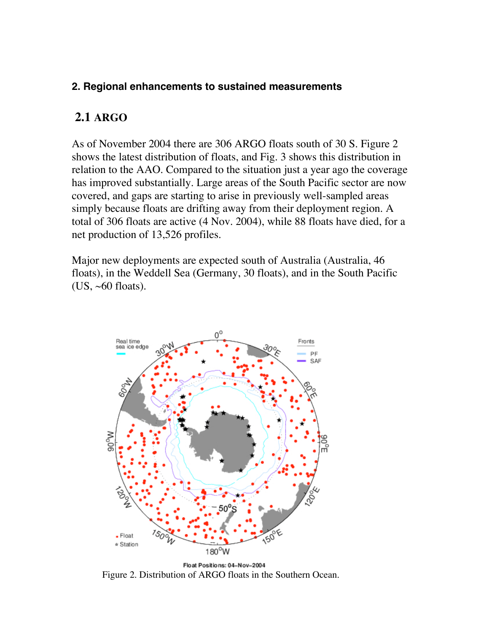#### **2. Regional enhancements to sustained measurements**

### **2.1 ARGO**

As of November 2004 there are 306 ARGO floats south of 30 S. Figure 2 shows the latest distribution of floats, and Fig. 3 shows this distribution in relation to the AAO. Compared to the situation just a year ago the coverage has improved substantially. Large areas of the South Pacific sector are now covered, and gaps are starting to arise in previously well-sampled areas simply because floats are drifting away from their deployment region. A total of 306 floats are active (4 Nov. 2004), while 88 floats have died, for a net production of 13,526 profiles.

Major new deployments are expected south of Australia (Australia, 46 floats), in the Weddell Sea (Germany, 30 floats), and in the South Pacific (US,  $~60$  floats).



Float Positions: 04-Nov-2004 Figure 2. Distribution of ARGO floats in the Southern Ocean.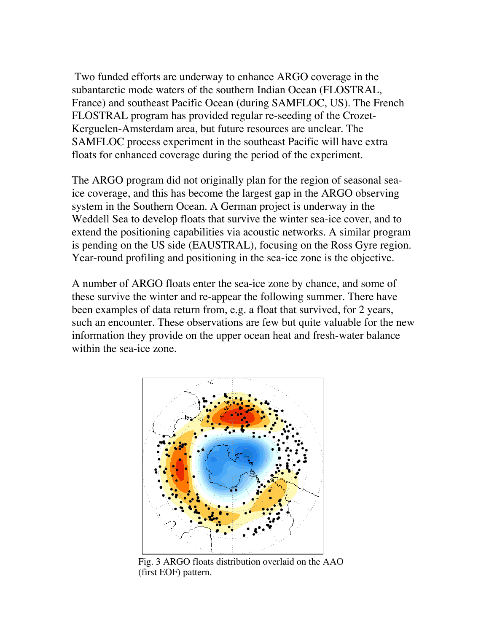Two funded efforts are underway to enhance ARGO coverage in the subantarctic mode waters of the southern Indian Ocean (FLOSTRAL, France) and southeast Pacific Ocean (during SAMFLOC, US). The French FLOSTRAL program has provided regular re-seeding of the Crozet-Kerguelen-Amsterdam area, but future resources are unclear. The SAMFLOC process experiment in the southeast Pacific will have extra floats for enhanced coverage during the period of the experiment.

The ARGO program did not originally plan for the region of seasonal seaice coverage, and this has become the largest gap in the ARGO observing system in the Southern Ocean. A German project is underway in the Weddell Sea to develop floats that survive the winter sea-ice cover, and to extend the positioning capabilities via acoustic networks. A similar program is pending on the US side (EAUSTRAL), focusing on the Ross Gyre region. Year-round profiling and positioning in the sea-ice zone is the objective.

A number of ARGO floats enter the sea-ice zone by chance, and some of these survive the winter and re-appear the following summer. There have been examples of data return from, e.g. a float that survived, for 2 years, such an encounter. These observations are few but quite valuable for the new information they provide on the upper ocean heat and fresh-water balance within the sea-ice zone.



Fig. 3 ARGO floats distribution overlaid on the AAO (first EOF) pattern.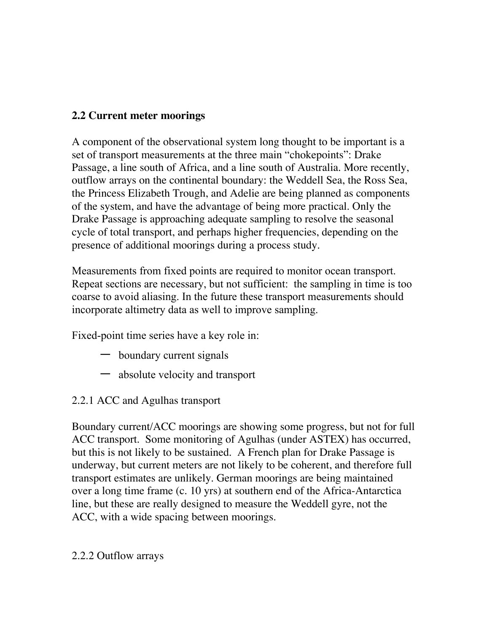## **2.2 Current meter moorings**

A component of the observational system long thought to be important is a set of transport measurements at the three main "chokepoints": Drake Passage, a line south of Africa, and a line south of Australia. More recently, outflow arrays on the continental boundary: the Weddell Sea, the Ross Sea, the Princess Elizabeth Trough, and Adelie are being planned as components of the system, and have the advantage of being more practical. Only the Drake Passage is approaching adequate sampling to resolve the seasonal cycle of total transport, and perhaps higher frequencies, depending on the presence of additional moorings during a process study.

Measurements from fixed points are required to monitor ocean transport. Repeat sections are necessary, but not sufficient: the sampling in time is too coarse to avoid aliasing. In the future these transport measurements should incorporate altimetry data as well to improve sampling.

Fixed-point time series have a key role in:

- boundary current signals
- absolute velocity and transport
- 2.2.1 ACC and Agulhas transport

Boundary current/ACC moorings are showing some progress, but not for full ACC transport. Some monitoring of Agulhas (under ASTEX) has occurred, but this is not likely to be sustained. A French plan for Drake Passage is underway, but current meters are not likely to be coherent, and therefore full transport estimates are unlikely. German moorings are being maintained over a long time frame (c. 10 yrs) at southern end of the Africa-Antarctica line, but these are really designed to measure the Weddell gyre, not the ACC, with a wide spacing between moorings.

2.2.2 Outflow arrays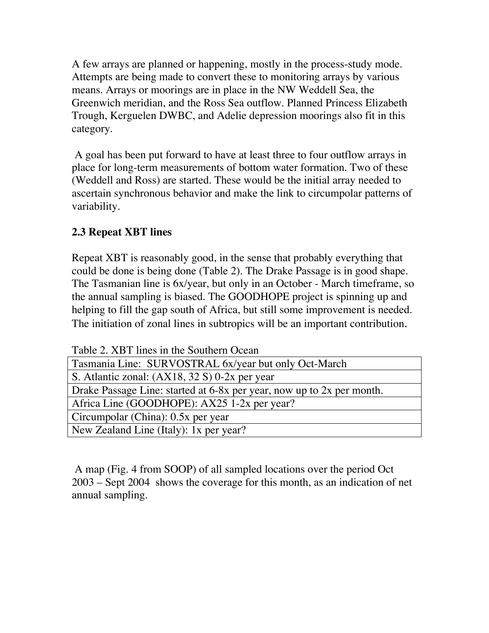A few arrays are planned or happening, mostly in the process-study mode. Attempts are being made to convert these to monitoring arrays by various means. Arrays or moorings are in place in the NW Weddell Sea, the Greenwich meridian, and the Ross Sea outflow. Planned Princess Elizabeth Trough, Kerguelen DWBC, and Adelie depression moorings also fit in this category.

 A goal has been put forward to have at least three to four outflow arrays in place for long-term measurements of bottom water formation. Two of these (Weddell and Ross) are started. These would be the initial array needed to ascertain synchronous behavior and make the link to circumpolar patterns of variability.

## **2.3 Repeat XBT lines**

Repeat XBT is reasonably good, in the sense that probably everything that could be done is being done (Table 2). The Drake Passage is in good shape. The Tasmanian line is 6x/year, but only in an October - March timeframe, so the annual sampling is biased. The GOODHOPE project is spinning up and helping to fill the gap south of Africa, but still some improvement is needed. The initiation of zonal lines in subtropics will be an important contribution.

Table 2. XBT lines in the Southern Ocean

| Tasmania Line: SURVOSTRAL 6x/year but only Oct-March                  |  |
|-----------------------------------------------------------------------|--|
| S. Atlantic zonal: $(AX18, 32 S) 0-2x$ per year                       |  |
| Drake Passage Line: started at 6-8x per year, now up to 2x per month. |  |
| Africa Line (GOODHOPE): AX25 1-2x per year?                           |  |
| Circumpolar (China): 0.5x per year                                    |  |
| New Zealand Line (Italy): 1x per year?                                |  |

 A map (Fig. 4 from SOOP) of all sampled locations over the period Oct 2003 – Sept 2004 shows the coverage for this month, as an indication of net annual sampling.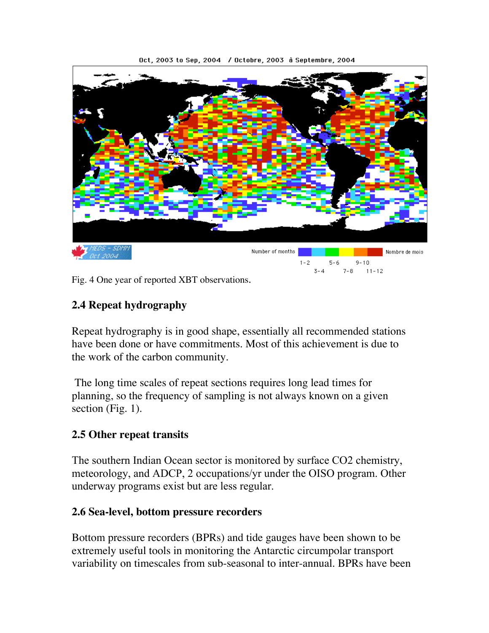

Oct, 2003 to Sep, 2004 / Octobre, 2003 à Septembre, 2004

Fig. 4 One year of reported XBT observations.

### **2.4 Repeat hydrography**

Repeat hydrography is in good shape, essentially all recommended stations have been done or have commitments. Most of this achievement is due to the work of the carbon community.

 The long time scales of repeat sections requires long lead times for planning, so the frequency of sampling is not always known on a given section (Fig. 1).

### **2.5 Other repeat transits**

The southern Indian Ocean sector is monitored by surface CO2 chemistry, meteorology, and ADCP, 2 occupations/yr under the OISO program. Other underway programs exist but are less regular.

#### **2.6 Sea-level, bottom pressure recorders**

Bottom pressure recorders (BPRs) and tide gauges have been shown to be extremely useful tools in monitoring the Antarctic circumpolar transport variability on timescales from sub-seasonal to inter-annual. BPRs have been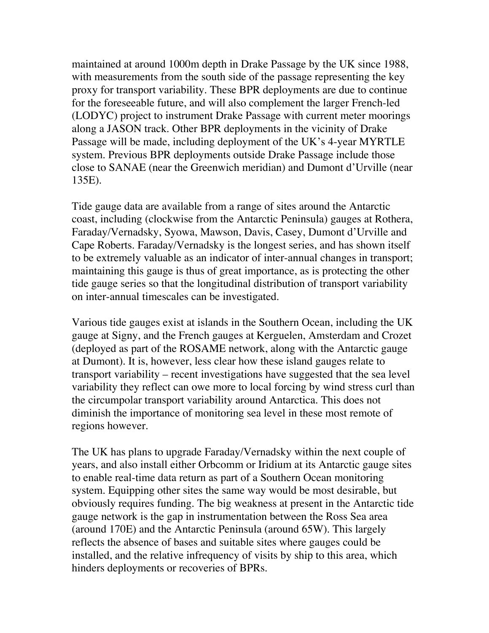maintained at around 1000m depth in Drake Passage by the UK since 1988, with measurements from the south side of the passage representing the key proxy for transport variability. These BPR deployments are due to continue for the foreseeable future, and will also complement the larger French-led (LODYC) project to instrument Drake Passage with current meter moorings along a JASON track. Other BPR deployments in the vicinity of Drake Passage will be made, including deployment of the UK's 4-year MYRTLE system. Previous BPR deployments outside Drake Passage include those close to SANAE (near the Greenwich meridian) and Dumont d'Urville (near 135E).

Tide gauge data are available from a range of sites around the Antarctic coast, including (clockwise from the Antarctic Peninsula) gauges at Rothera, Faraday/Vernadsky, Syowa, Mawson, Davis, Casey, Dumont d'Urville and Cape Roberts. Faraday/Vernadsky is the longest series, and has shown itself to be extremely valuable as an indicator of inter-annual changes in transport; maintaining this gauge is thus of great importance, as is protecting the other tide gauge series so that the longitudinal distribution of transport variability on inter-annual timescales can be investigated.

Various tide gauges exist at islands in the Southern Ocean, including the UK gauge at Signy, and the French gauges at Kerguelen, Amsterdam and Crozet (deployed as part of the ROSAME network, along with the Antarctic gauge at Dumont). It is, however, less clear how these island gauges relate to transport variability – recent investigations have suggested that the sea level variability they reflect can owe more to local forcing by wind stress curl than the circumpolar transport variability around Antarctica. This does not diminish the importance of monitoring sea level in these most remote of regions however.

The UK has plans to upgrade Faraday/Vernadsky within the next couple of years, and also install either Orbcomm or Iridium at its Antarctic gauge sites to enable real-time data return as part of a Southern Ocean monitoring system. Equipping other sites the same way would be most desirable, but obviously requires funding. The big weakness at present in the Antarctic tide gauge network is the gap in instrumentation between the Ross Sea area (around 170E) and the Antarctic Peninsula (around 65W). This largely reflects the absence of bases and suitable sites where gauges could be installed, and the relative infrequency of visits by ship to this area, which hinders deployments or recoveries of BPRs.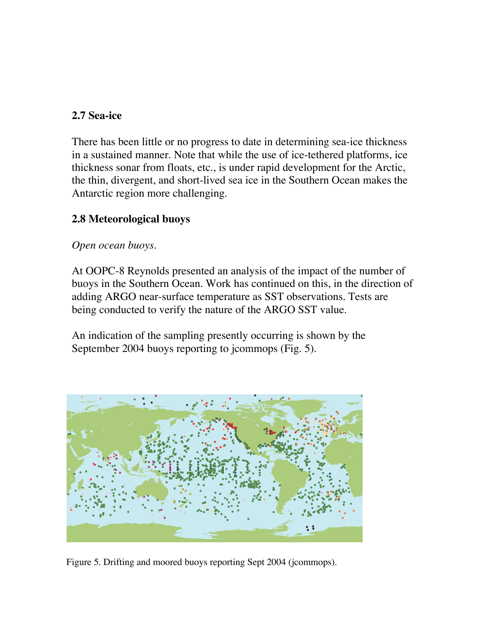### **2.7 Sea-ice**

There has been little or no progress to date in determining sea-ice thickness in a sustained manner. Note that while the use of ice-tethered platforms, ice thickness sonar from floats, etc., is under rapid development for the Arctic, the thin, divergent, and short-lived sea ice in the Southern Ocean makes the Antarctic region more challenging.

### **2.8 Meteorological buoys**

### *Open ocean buoys*.

At OOPC-8 Reynolds presented an analysis of the impact of the number of buoys in the Southern Ocean. Work has continued on this, in the direction of adding ARGO near-surface temperature as SST observations. Tests are being conducted to verify the nature of the ARGO SST value.

An indication of the sampling presently occurring is shown by the September 2004 buoys reporting to jcommops (Fig. 5).



Figure 5. Drifting and moored buoys reporting Sept 2004 (jcommops).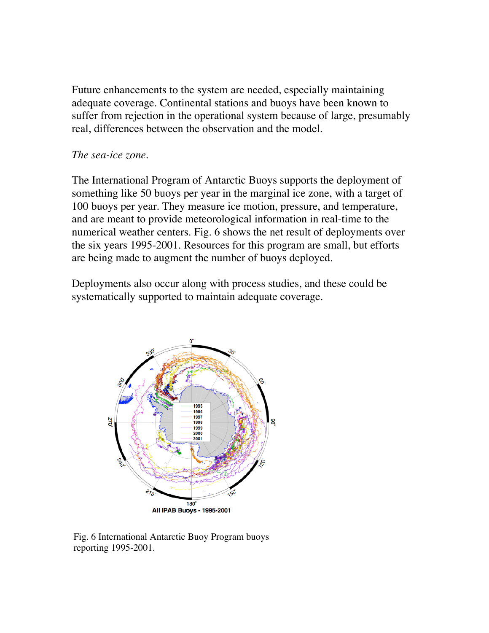Future enhancements to the system are needed, especially maintaining adequate coverage. Continental stations and buoys have been known to suffer from rejection in the operational system because of large, presumably real, differences between the observation and the model.

#### *The sea-ice zone*.

The International Program of Antarctic Buoys supports the deployment of something like 50 buoys per year in the marginal ice zone, with a target of 100 buoys per year. They measure ice motion, pressure, and temperature, and are meant to provide meteorological information in real-time to the numerical weather centers. Fig. 6 shows the net result of deployments over the six years 1995-2001. Resources for this program are small, but efforts are being made to augment the number of buoys deployed.

Deployments also occur along with process studies, and these could be systematically supported to maintain adequate coverage.



Fig. 6 International Antarctic Buoy Program buoys reporting 1995-2001.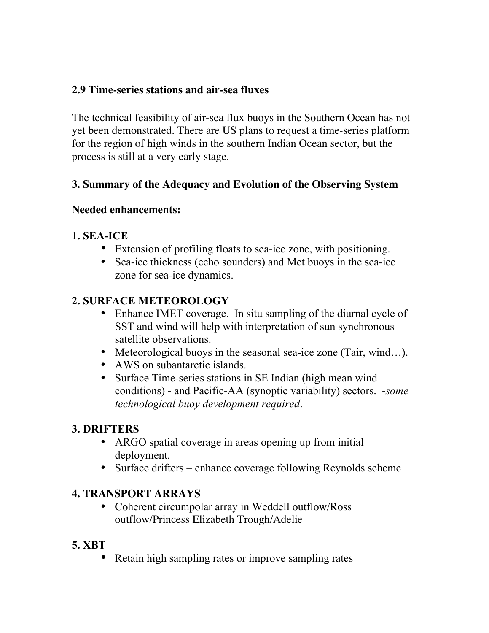### **2.9 Time-series stations and air-sea fluxes**

The technical feasibility of air-sea flux buoys in the Southern Ocean has not yet been demonstrated. There are US plans to request a time-series platform for the region of high winds in the southern Indian Ocean sector, but the process is still at a very early stage.

## **3. Summary of the Adequacy and Evolution of the Observing System**

### **Needed enhancements:**

## **1. SEA-ICE**

- Extension of profiling floats to sea-ice zone, with positioning.
- Sea-ice thickness (echo sounders) and Met buoys in the sea-ice zone for sea-ice dynamics.

## **2. SURFACE METEOROLOGY**

- Enhance IMET coverage. In situ sampling of the diurnal cycle of SST and wind will help with interpretation of sun synchronous satellite observations.
- Meteorological buoys in the seasonal sea-ice zone (Tair, wind...).
- AWS on subantarctic islands.
- Surface Time-series stations in SE Indian (high mean wind conditions) - and Pacific-AA (synoptic variability) sectors. -*some technological buoy development required*.

## **3. DRIFTERS**

- ARGO spatial coverage in areas opening up from initial deployment.
- Surface drifters enhance coverage following Reynolds scheme

## **4. TRANSPORT ARRAYS**

• Coherent circumpolar array in Weddell outflow/Ross outflow/Princess Elizabeth Trough/Adelie

### **5. XBT**

• Retain high sampling rates or improve sampling rates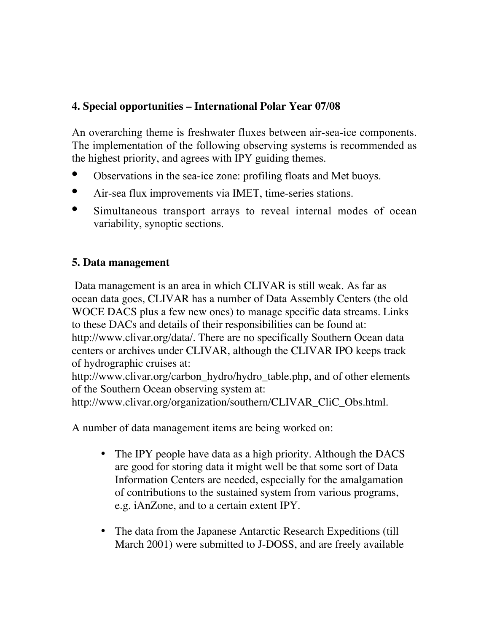### **4. Special opportunities – International Polar Year 07/08**

An overarching theme is freshwater fluxes between air-sea-ice components. The implementation of the following observing systems is recommended as the highest priority, and agrees with IPY guiding themes.

- **•** Observations in the sea-ice zone: profiling floats and Met buoys.
- **•** Air-sea flux improvements via IMET, time-series stations.
- **•** Simultaneous transport arrays to reveal internal modes of ocean variability, synoptic sections.

## **5. Data management**

 Data management is an area in which CLIVAR is still weak. As far as ocean data goes, CLIVAR has a number of Data Assembly Centers (the old WOCE DACS plus a few new ones) to manage specific data streams. Links to these DACs and details of their responsibilities can be found at: http://www.clivar.org/data/. There are no specifically Southern Ocean data centers or archives under CLIVAR, although the CLIVAR IPO keeps track of hydrographic cruises at:

http://www.clivar.org/carbon\_hydro/hydro\_table.php, and of other elements of the Southern Ocean observing system at:

http://www.clivar.org/organization/southern/CLIVAR\_CliC\_Obs.html.

A number of data management items are being worked on:

- The IPY people have data as a high priority. Although the DACS are good for storing data it might well be that some sort of Data Information Centers are needed, especially for the amalgamation of contributions to the sustained system from various programs, e.g. iAnZone, and to a certain extent IPY.
- The data from the Japanese Antarctic Research Expeditions (till March 2001) were submitted to J-DOSS, and are freely available